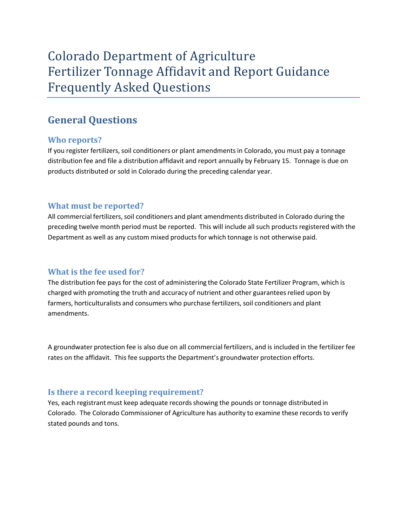# Colorado Department of Agriculture Fertilizer Tonnage Affidavit and Report Guidance Frequently Asked Questions

# **General Questions**

# **Who reports?**

If you register fertilizers, soil conditioners or plant amendments in Colorado, you must pay a tonnage distribution fee and file a distribution affidavit and report annually by February 15. Tonnage is due on products distributed or sold in Colorado during the preceding calendar year.

# **What must be reported?**

All commercial fertilizers, soil conditioners and plant amendments distributed in Colorado during the preceding twelve month period must be reported. This will include all such products registered with the Department as well as any custom mixed productsfor which tonnage is not otherwise paid.

### **What is the fee used for?**

The distribution fee pays for the cost of administering the Colorado State Fertilizer Program, which is charged with promoting the truth and accuracy of nutrient and other guarantees relied upon by farmers, horticulturalists and consumers who purchase fertilizers, soil conditioners and plant amendments.

A groundwater protection fee is also due on all commercial fertilizers, and is included in the fertilizer fee rates on the affidavit. This fee supports the Department's groundwater protection efforts.

### **Is there a record keeping requirement?**

Yes, each registrant must keep adequate records showing the pounds or tonnage distributed in Colorado. The Colorado Commissioner of Agriculture has authority to examine these records to verify stated pounds and tons.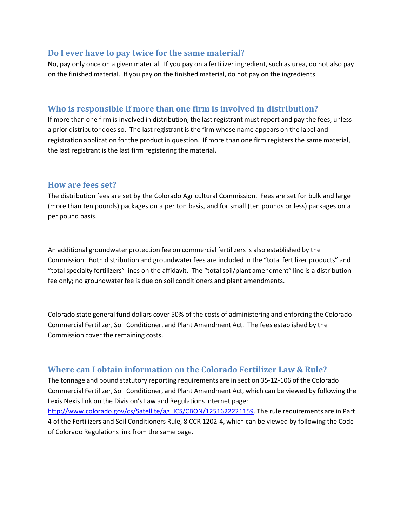#### **Do I ever have to pay twice for the same material?**

No, pay only once on a given material. If you pay on a fertilizer ingredient, such as urea, do not also pay on the finished material. If you pay on the finished material, do not pay on the ingredients.

#### **Who is responsible if more than one firm is involved in distribution?**

If more than one firm is involved in distribution, the last registrant must report and pay the fees, unless a prior distributor does so. The last registrant is the firm whose name appears on the label and registration application for the product in question. If more than one firm registers the same material, the last registrant is the last firm registering the material.

#### **How are fees set?**

The distribution fees are set by the Colorado Agricultural Commission. Fees are set for bulk and large (more than ten pounds) packages on a per ton basis, and for small (ten pounds or less) packages on a per pound basis.

An additional groundwater protection fee on commercial fertilizers is also established by the Commission. Both distribution and groundwater fees are included in the "total fertilizer products" and "total specialty fertilizers" lines on the affidavit. The "total soil/plant amendment" line is a distribution fee only; no groundwater fee is due on soil conditioners and plant amendments.

Colorado state general fund dollars cover 50% of the costs of administering and enforcing the Colorado Commercial Fertilizer, Soil Conditioner, and Plant Amendment Act. The fees established by the Commission cover the remaining costs.

# **Where can I obtain information on the Colorado Fertilizer Law & Rule?**

The tonnage and pound statutory reporting requirements are in section 35‐12‐106 of the Colorado Commercial Fertilizer, Soil Conditioner, and Plant Amendment Act, which can be viewed by following the Lexis Nexis link on the Division's Law and Regulations Internet page:

[http://www.colorado.gov/cs/Satellite/ag\\_ICS/CBON/1251622221159.](http://www.colorado.gov/cs/Satellite/ag_ICS/CBON/1251622221159) The rule requirements are in Part 4 of the Fertilizers and Soil Conditioners Rule, 8 CCR 1202‐4, which can be viewed by following the Code of Colorado Regulations link from the same page.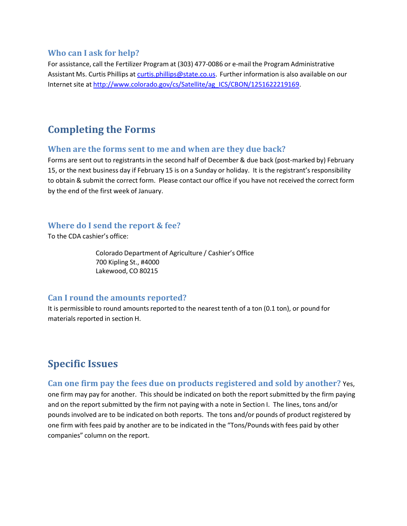#### **Who can I ask for help?**

For assistance, call the Fertilizer Program at (303) 477‐0086 or e‐mail the Program Administrative Assistant Ms. Curtis Phillips at [curtis.phillips@state.co.us.](mailto:curtis.phillips@state.co.us) Further information is also available on our Internet site at [http://www.colorado.gov/cs/Satellite/ag\\_ICS/CBON/1251622219169.](http://www.colorado.gov/cs/Satellite/ag_ICS/CBON/1251622219169)

# **Completing the Forms**

#### **When are the forms sent to me and when are they due back?**

Forms are sent out to registrants in the second half of December & due back (post-marked by) February 15, or the next business day if February 15 is on a Sunday or holiday. It is the registrant'sresponsibility to obtain & submit the correct form. Please contact our office if you have not received the correct form by the end of the first week of January.

#### **Where do I send the report & fee?**

To the CDA cashier's office:

Colorado Department of Agriculture / Cashier's Office 700 Kipling St., #4000 Lakewood, CO 80215

#### **Can I round the amounts reported?**

It is permissible to round amounts reported to the nearest tenth of a ton (0.1 ton), or pound for materials reported in section H.

# **Specific Issues**

#### **Can one firm pay the fees due on products registered and sold by another?** Yes,

one firm may pay for another. This should be indicated on both the report submitted by the firm paying and on the report submitted by the firm not paying with a note in Section I. The lines, tons and/or pounds involved are to be indicated on both reports. The tons and/or pounds of product registered by one firm with fees paid by another are to be indicated in the "Tons/Pounds with fees paid by other companies" column on the report.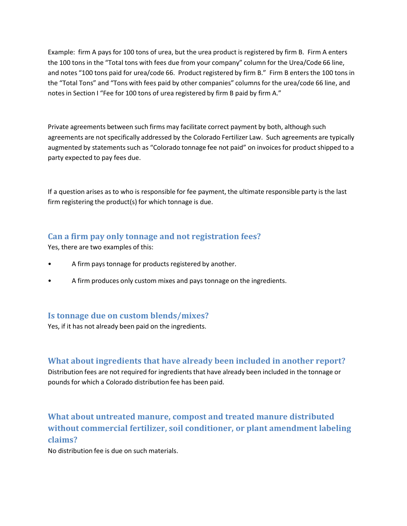Example: firm A pays for 100 tons of urea, but the urea product is registered by firm B. Firm A enters the 100 tons in the "Total tons with fees due from your company" column for the Urea/Code 66 line, and notes "100 tons paid for urea/code 66. Product registered by firm B." Firm B enters the 100 tons in the "Total Tons" and "Tons with fees paid by other companies" columnsfor the urea/code 66 line, and notes in Section I "Fee for 100 tons of urea registered by firm B paid by firm A."

Private agreements between such firms may facilitate correct payment by both, although such agreements are not specifically addressed by the Colorado Fertilizer Law. Such agreements are typically augmented by statements such as "Colorado tonnage fee not paid" on invoices for product shipped to a party expected to pay fees due.

If a question arises as to who is responsible for fee payment, the ultimate responsible party is the last firm registering the product(s) for which tonnage is due.

# **Can a firm pay only tonnage and not registration fees?**

Yes, there are two examples of this:

- A firm pays tonnage for products registered by another.
- A firm produces only custom mixes and pays tonnage on the ingredients.

### **Is tonnage due on custom blends/mixes?**

Yes, if it has not already been paid on the ingredients.

**What about ingredients that have already been included in another report?** 

Distribution fees are not required for ingredients that have already been included in the tonnage or pounds for which a Colorado distribution fee has been paid.

# **What about untreated manure, compost and treated manure distributed without commercial fertilizer, soil conditioner, or plant amendment labeling claims?**

No distribution fee is due on such materials.